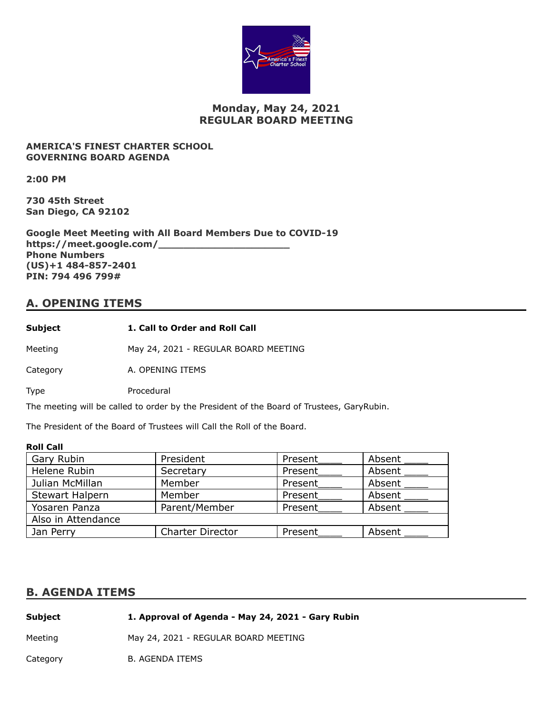

## **Monday, May 24, 2021 REGULAR BOARD MEETING**

### **AMERICA'S FINEST CHARTER SCHOOL GOVERNING BOARD AGENDA**

**2:00 PM**

**730 45th Street San Diego, CA 92102**

**Google Meet Meeting with All Board Members Due to COVID-19 https://meet.google.com/\_\_\_\_\_\_\_\_\_\_\_\_\_\_\_\_\_\_\_\_\_ Phone Numbers (US)+1 484-857-2401 PIN: 794 496 799#**

## **A. OPENING ITEMS**

Meeting May 24, 2021 - REGULAR BOARD MEETING

Category **A. OPENING ITEMS** 

Type Procedural

The meeting will be called to order by the President of the Board of Trustees, GaryRubin.

The President of the Board of Trustees will Call the Roll of the Board.

### **Roll Call**

| Gary Rubin             | President               | Present | Absent |
|------------------------|-------------------------|---------|--------|
| Helene Rubin           | Secretary               | Present | Absent |
| Julian McMillan        | Member                  | Present | Absent |
| <b>Stewart Halpern</b> | Member                  | Present | Absent |
| Yosaren Panza          | Parent/Member           | Present | Absent |
| Also in Attendance     |                         |         |        |
| Jan Perry              | <b>Charter Director</b> | Present | Absent |

### **B. AGENDA ITEMS**

| Subject  | 1. Approval of Agenda - May 24, 2021 - Gary Rubin |
|----------|---------------------------------------------------|
| Meeting  | May 24, 2021 - REGULAR BOARD MEETING              |
| Category | <b>B. AGENDA ITEMS</b>                            |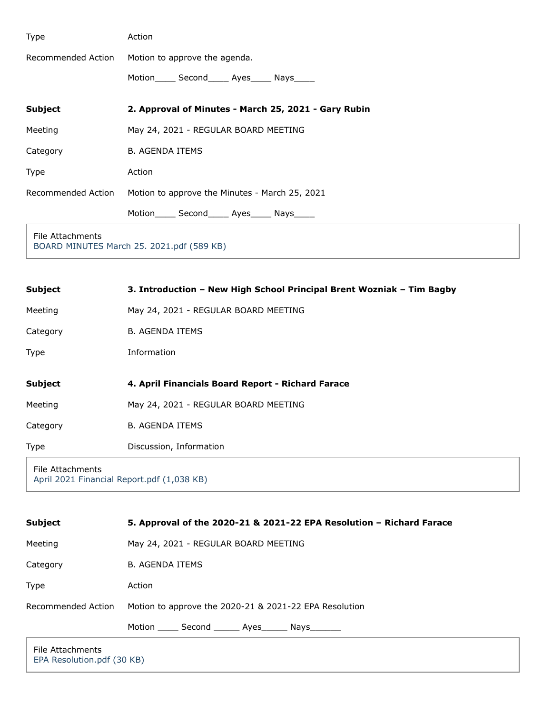| Type               | Action                                               |  |
|--------------------|------------------------------------------------------|--|
| Recommended Action | Motion to approve the agenda.                        |  |
|                    | Motion_______ Second______ Ayes______ Nays______     |  |
| <b>Subject</b>     | 2. Approval of Minutes - March 25, 2021 - Gary Rubin |  |
| Meeting            | May 24, 2021 - REGULAR BOARD MEETING                 |  |
| Category           | <b>B. AGENDA ITEMS</b>                               |  |
| Type               | Action                                               |  |
| Recommended Action | Motion to approve the Minutes - March 25, 2021       |  |
|                    | Motion_______ Second_______ Ayes_______ Nays______   |  |
| Eilo Attachmontc   |                                                      |  |

File Attachments [BOARD MINUTES March 25. 2021.pdf \(589 KB\)](https://go.boarddocs.com/ca/americasfinest/Board.nsf/files/C36QWE6A2C46/$file/BOARD%20MINUTES%20March%2025.%202021.pdf)

| <b>Subject</b>                                                 | 3. Introduction - New High School Principal Brent Wozniak - Tim Bagby |
|----------------------------------------------------------------|-----------------------------------------------------------------------|
| Meeting                                                        | May 24, 2021 - REGULAR BOARD MEETING                                  |
| Category                                                       | <b>B. AGENDA ITEMS</b>                                                |
| <b>Type</b>                                                    | Information                                                           |
| <b>Subject</b>                                                 | 4. April Financials Board Report - Richard Farace                     |
| Meeting                                                        | May 24, 2021 - REGULAR BOARD MEETING                                  |
| Category                                                       | <b>B. AGENDA ITEMS</b>                                                |
| <b>Type</b>                                                    | Discussion, Information                                               |
| File Attachments<br>April 2021 Financial Report.pdf (1,038 KB) |                                                                       |

| <b>Subject</b>     | 5. Approval of the 2020-21 & 2021-22 EPA Resolution - Richard Farace |  |
|--------------------|----------------------------------------------------------------------|--|
| Meeting            | May 24, 2021 - REGULAR BOARD MEETING                                 |  |
| Category           | <b>B. AGENDA ITEMS</b>                                               |  |
| Type               | Action                                                               |  |
| Recommended Action | Motion to approve the 2020-21 & 2021-22 EPA Resolution               |  |
|                    | Motion ______ Second _______ Ayes _______ Nays _______               |  |
| File Attachments   |                                                                      |  |

[EPA Resolution.pdf \(30 KB\)](https://go.boarddocs.com/ca/americasfinest/Board.nsf/files/C36R8S6B54CF/$file/EPA%20Resolution.pdf)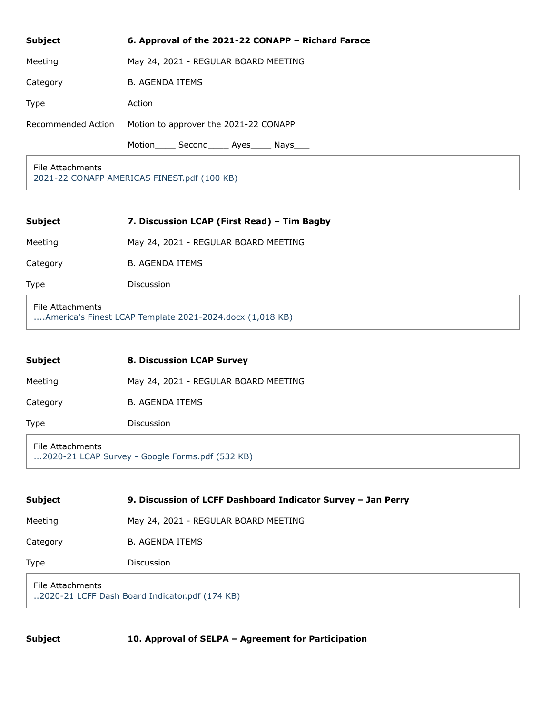| <b>Subject</b>     | 6. Approval of the 2021-22 CONAPP - Richard Farace |
|--------------------|----------------------------------------------------|
| Meeting            | May 24, 2021 - REGULAR BOARD MEETING               |
| Category           | <b>B. AGENDA ITEMS</b>                             |
| <b>Type</b>        | Action                                             |
| Recommended Action | Motion to approver the 2021-22 CONAPP              |
|                    | Second Ayes Nays<br>Motion                         |

File Attachments [2021-22 CONAPP AMERICAS FINEST.pdf \(100 KB\)](https://go.boarddocs.com/ca/americasfinest/Board.nsf/files/C36RAD6B9D63/$file/2021-22%20CONAPP%20AMERICAS%20FINEST.pdf)

| <b>Subject</b> | 7. Discussion LCAP (First Read) – Tim Bagby |
|----------------|---------------------------------------------|
| Meeting        | May 24, 2021 - REGULAR BOARD MEETING        |
| Category       | <b>B. AGENDA ITEMS</b>                      |
| <b>Type</b>    | Discussion                                  |

File Attachments [....America's Finest LCAP Template 2021-2024.docx \(1,018 KB\)](https://go.boarddocs.com/ca/americasfinest/Board.nsf/files/C38PNH60F877/$file/....America)

| <b>Subject</b>                                                      | <b>8. Discussion LCAP Survey</b>     |
|---------------------------------------------------------------------|--------------------------------------|
| Meeting                                                             | May 24, 2021 - REGULAR BOARD MEETING |
| Category                                                            | <b>B. AGENDA ITEMS</b>               |
| Type                                                                | <b>Discussion</b>                    |
| File Attachments<br>2020-21 LCAP Survey - Google Forms.pdf (532 KB) |                                      |

| <b>Subject</b>                                                     | 9. Discussion of LCFF Dashboard Indicator Survey - Jan Perry |
|--------------------------------------------------------------------|--------------------------------------------------------------|
| Meeting                                                            | May 24, 2021 - REGULAR BOARD MEETING                         |
| Category                                                           | <b>B. AGENDA ITEMS</b>                                       |
| Type                                                               | <b>Discussion</b>                                            |
| File Attachments<br>2020-21 LCFF Dash Board Indicator.pdf (174 KB) |                                                              |

**Subject 10. Approval of SELPA – Agreement for Participation**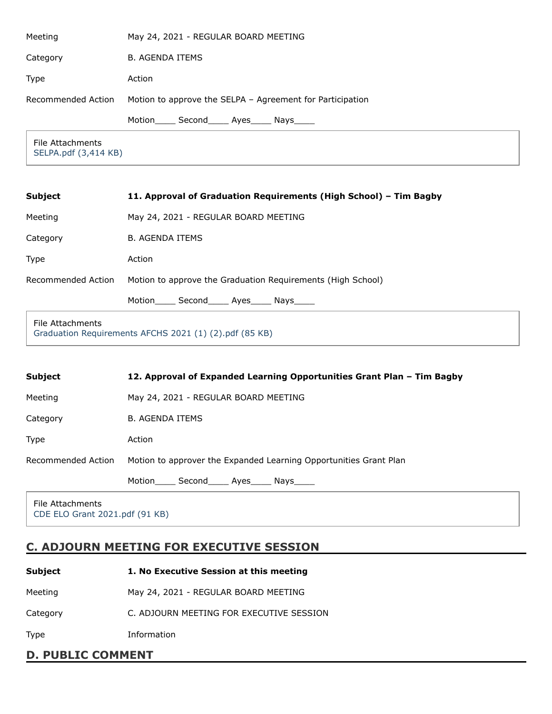| Meeting                                  | May 24, 2021 - REGULAR BOARD MEETING                      |
|------------------------------------------|-----------------------------------------------------------|
| Category                                 | <b>B. AGENDA ITEMS</b>                                    |
| Type                                     | Action                                                    |
| Recommended Action                       | Motion to approve the SELPA - Agreement for Participation |
|                                          | Second Ayes Nays<br>Motion                                |
| File Attachments<br>SELPA.pdf (3,414 KB) |                                                           |

| <b>Subject</b>     | 11. Approval of Graduation Requirements (High School) – Tim Bagby |
|--------------------|-------------------------------------------------------------------|
| Meeting            | May 24, 2021 - REGULAR BOARD MEETING                              |
| Category           | <b>B. AGENDA ITEMS</b>                                            |
| Type               | Action                                                            |
| Recommended Action | Motion to approve the Graduation Requirements (High School)       |
|                    | Motion Second Ayes Nays                                           |

#### File Attachments

[Graduation Requirements AFCHS 2021 \(1\) \(2\).pdf \(85 KB\)](https://go.boarddocs.com/ca/americasfinest/Board.nsf/files/C36RWT6D8BD5/$file/Graduation%20Requirements%20AFCHS%202021%20(1)%20(2).pdf)

| <b>Subject</b>     | 12. Approval of Expanded Learning Opportunities Grant Plan - Tim Bagby |
|--------------------|------------------------------------------------------------------------|
| Meeting            | May 24, 2021 - REGULAR BOARD MEETING                                   |
| Category           | <b>B. AGENDA ITEMS</b>                                                 |
| <b>Type</b>        | Action                                                                 |
| Recommended Action | Motion to approver the Expanded Learning Opportunities Grant Plan      |
|                    | Motion_______ Second_______ Ayes______ Nays______                      |
| File Attachments   |                                                                        |

[CDE ELO Grant 2021.pdf \(91 KB\)](https://go.boarddocs.com/ca/americasfinest/Board.nsf/files/C36RW56D6CAC/$file/CDE%20ELO%20Grant%202021.pdf)

# **C. ADJOURN MEETING FOR EXECUTIVE SESSION**

| Subject  | 1. No Executive Session at this meeting  |
|----------|------------------------------------------|
| Meeting  | May 24, 2021 - REGULAR BOARD MEETING     |
| Category | C. ADJOURN MEETING FOR EXECUTIVE SESSION |
| Type     | Information                              |

# **D. PUBLIC COMMENT**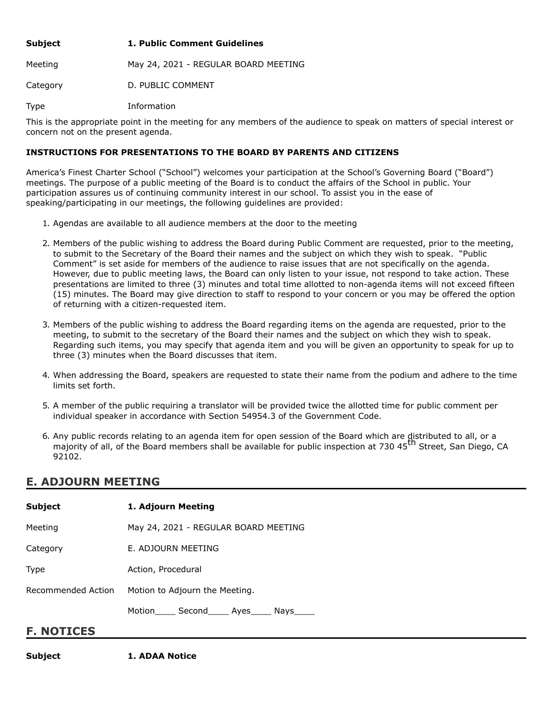| Subject  | 1. Public Comment Guidelines         |
|----------|--------------------------------------|
| Meeting  | May 24, 2021 - REGULAR BOARD MEETING |
| Category | D. PUBLIC COMMENT                    |

Type Information

This is the appropriate point in the meeting for any members of the audience to speak on matters of special interest or concern not on the present agenda.

### **INSTRUCTIONS FOR PRESENTATIONS TO THE BOARD BY PARENTS AND CITIZENS**

America's Finest Charter School ("School") welcomes your participation at the School's Governing Board ("Board") meetings. The purpose of a public meeting of the Board is to conduct the affairs of the School in public. Your participation assures us of continuing community interest in our school. To assist you in the ease of speaking/participating in our meetings, the following guidelines are provided:

- 1. Agendas are available to all audience members at the door to the meeting
- 2. Members of the public wishing to address the Board during Public Comment are requested, prior to the meeting, to submit to the Secretary of the Board their names and the subject on which they wish to speak. "Public Comment" is set aside for members of the audience to raise issues that are not specifically on the agenda. However, due to public meeting laws, the Board can only listen to your issue, not respond to take action. These presentations are limited to three (3) minutes and total time allotted to non-agenda items will not exceed fifteen (15) minutes. The Board may give direction to staff to respond to your concern or you may be offered the option of returning with a citizen-requested item.
- 3. Members of the public wishing to address the Board regarding items on the agenda are requested, prior to the meeting, to submit to the secretary of the Board their names and the subject on which they wish to speak. Regarding such items, you may specify that agenda item and you will be given an opportunity to speak for up to three (3) minutes when the Board discusses that item.
- 4. When addressing the Board, speakers are requested to state their name from the podium and adhere to the time limits set forth.
- 5. A member of the public requiring a translator will be provided twice the allotted time for public comment per individual speaker in accordance with Section 54954.3 of the Government Code.
- 6. Any public records relating to an agenda item for open session of the Board which are distributed to all, or a majority of all, of the Board members shall be available for public inspection at 730 45<sup>th</sup> Street, San Diego, CA 92102.

## **E. ADJOURN MEETING**

| <b>Subject</b>     | 1. Adjourn Meeting                                |  |
|--------------------|---------------------------------------------------|--|
| Meeting            | May 24, 2021 - REGULAR BOARD MEETING              |  |
| Category           | E. ADJOURN MEETING                                |  |
| Type               | Action, Procedural                                |  |
| Recommended Action | Motion to Adjourn the Meeting.                    |  |
|                    | Motion_______ Second_______ Ayes______ Nays______ |  |
| <b>F. NOTICES</b>  |                                                   |  |

**Subject 1. ADAA Notice**